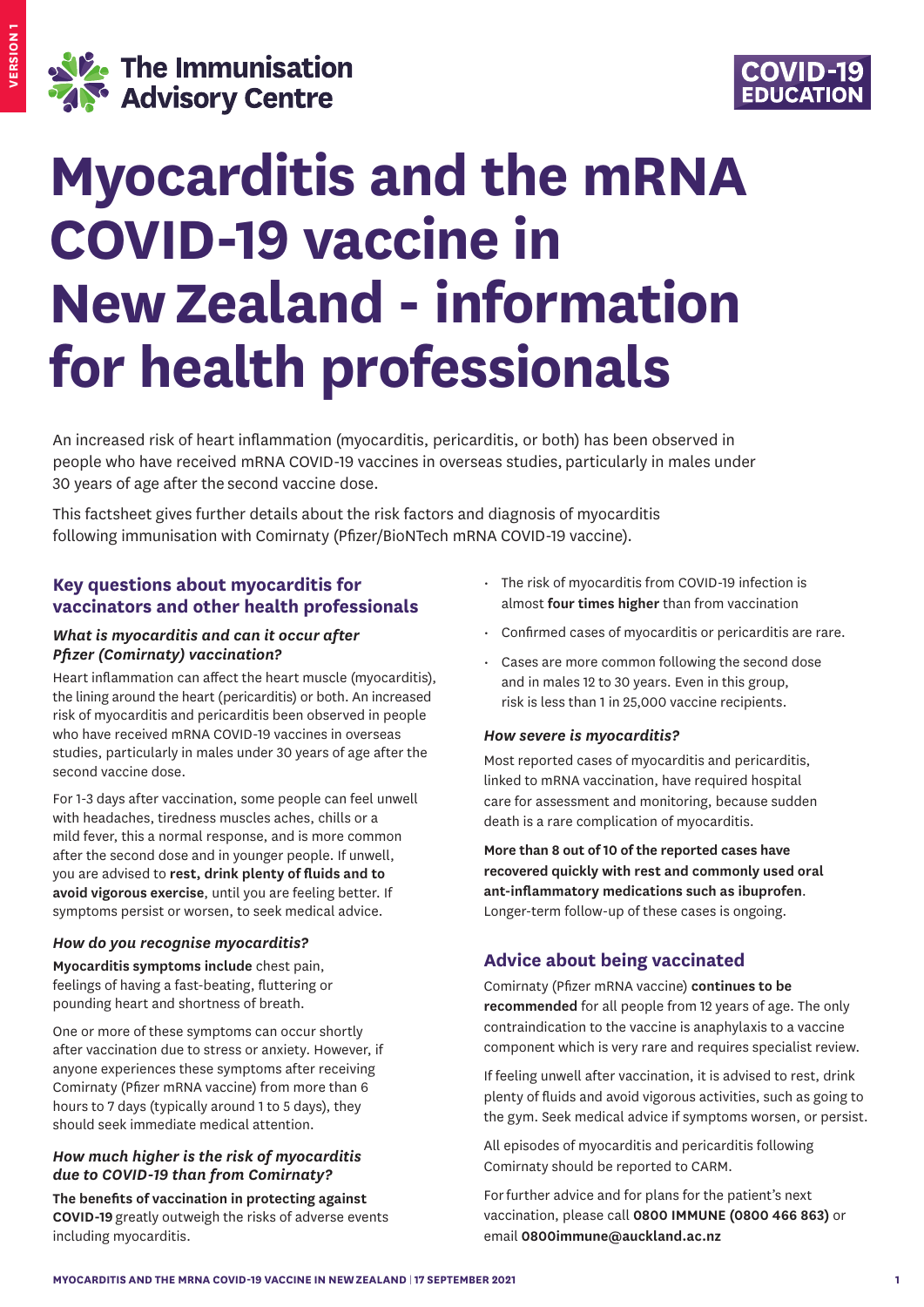



# **Myocarditis and the mRNA COVID-19 vaccine in New Zealand - information for health professionals**

An increased risk of heart inflammation (myocarditis, pericarditis, or both) has been observed in people who have received mRNA COVID-19 vaccines in overseas studies, particularly in males under 30 years of age after the second vaccine dose.

This factsheet gives further details about the risk factors and diagnosis of myocarditis following immunisation with Comirnaty (Pfizer/BioNTech mRNA COVID-19 vaccine).

# **Key questions about myocarditis for vaccinators and other health professionals**

# *What is myocarditis and can it occur after Pfizer (Comirnaty) vaccination?*

Heart inflammation can affect the heart muscle (myocarditis), the lining around the heart (pericarditis) or both. An increased risk of myocarditis and pericarditis been observed in people who have received mRNA COVID-19 vaccines in overseas studies, particularly in males under 30 years of age after the second vaccine dose.

For 1-3 days after vaccination, some people can feel unwell with headaches, tiredness muscles aches, chills or a mild fever, this a normal response, and is more common after the second dose and in younger people. If unwell, you are advised to **rest, drink plenty of fluids and to avoid vigorous exercise**, until you are feeling better. If symptoms persist or worsen, to seek medical advice.

# *How do you recognise myocarditis?*

**Myocarditis symptoms include** chest pain, feelings of having a fast-beating, fluttering or pounding heart and shortness of breath.

One or more of these symptoms can occur shortly after vaccination due to stress or anxiety. However, if anyone experiences these symptoms after receiving Comirnaty (Pfizer mRNA vaccine) from more than 6 hours to 7 days (typically around 1 to 5 days), they should seek immediate medical attention.

# *How much higher is the risk of myocarditis due to COVID-19 than from Comirnaty?*

**The benefits of vaccination in protecting against COVID‑19** greatly outweigh the risks of adverse events including myocarditis.

- The risk of myocarditis from COVID-19 infection is almost **four times higher** than from vaccination
- Confirmed cases of myocarditis or pericarditis are rare.
- Cases are more common following the second dose and in males 12 to 30 years. Even in this group, risk is less than 1 in 25,000 vaccine recipients.

# *How severe is myocarditis?*

Most reported cases of myocarditis and pericarditis, linked to mRNA vaccination, have required hospital care for assessment and monitoring, because sudden death is a rare complication of myocarditis.

**More than 8 out of 10 of the reported cases have recovered quickly with rest and commonly used oral ant‑inflammatory medications such as ibuprofen**. Longer-term follow-up of these cases is ongoing.

# **Advice about being vaccinated**

Comirnaty (Pfizer mRNA vaccine) **continues to be recommended** for all people from 12 years of age. The only contraindication to the vaccine is anaphylaxis to a vaccine component which is very rare and requires specialist review.

If feeling unwell after vaccination, it is advised to rest, drink plenty of fluids and avoid vigorous activities, such as going to the gym. Seek medical advice if symptoms worsen, or persist.

All episodes of myocarditis and pericarditis following Comirnaty should be reported to CARM.

For further advice and for plans for the patient's next vaccination, please call **0800 IMMUNE (0800 466 863)** or email **0800immune@auckland.ac.nz**